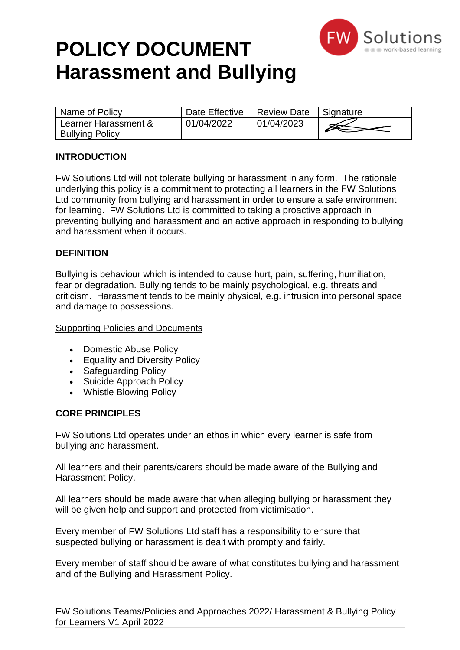

## **POLICY DOCUMENT Harassment and Bullying**

| Name of Policy                                 | Date Effective | <b>Review Date</b> | <sup>I</sup> Signature |
|------------------------------------------------|----------------|--------------------|------------------------|
| Learner Harassment &<br><b>Bullying Policy</b> | 01/04/2022     | 01/04/2023         |                        |

### **INTRODUCTION**

FW Solutions Ltd will not tolerate bullying or harassment in any form. The rationale underlying this policy is a commitment to protecting all learners in the FW Solutions Ltd community from bullying and harassment in order to ensure a safe environment for learning. FW Solutions Ltd is committed to taking a proactive approach in preventing bullying and harassment and an active approach in responding to bullying and harassment when it occurs.

#### **DEFINITION**

Bullying is behaviour which is intended to cause hurt, pain, suffering, humiliation, fear or degradation. Bullying tends to be mainly psychological, e.g. threats and criticism. Harassment tends to be mainly physical, e.g. intrusion into personal space and damage to possessions.

#### Supporting Policies and Documents

- Domestic Abuse Policy
- Equality and Diversity Policy
- Safeguarding Policy
- Suicide Approach Policy
- Whistle Blowing Policy

#### **CORE PRINCIPLES**

FW Solutions Ltd operates under an ethos in which every learner is safe from bullying and harassment.

All learners and their parents/carers should be made aware of the Bullying and Harassment Policy.

All learners should be made aware that when alleging bullying or harassment they will be given help and support and protected from victimisation.

Every member of FW Solutions Ltd staff has a responsibility to ensure that suspected bullying or harassment is dealt with promptly and fairly.

Every member of staff should be aware of what constitutes bullying and harassment and of the Bullying and Harassment Policy.

FW Solutions Teams/Policies and Approaches 2022/ Harassment & Bullying Policy for Learners V1 April 2022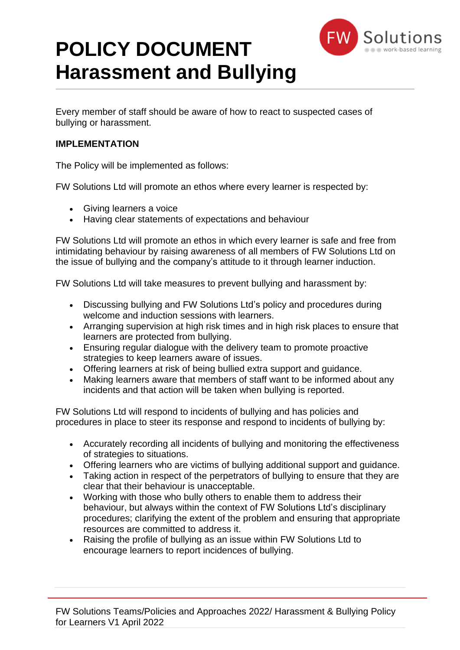

# **POLICY DOCUMENT Harassment and Bullying**

Every member of staff should be aware of how to react to suspected cases of bullying or harassment.

#### **IMPLEMENTATION**

The Policy will be implemented as follows:

FW Solutions Ltd will promote an ethos where every learner is respected by:

- Giving learners a voice
- Having clear statements of expectations and behaviour

FW Solutions Ltd will promote an ethos in which every learner is safe and free from intimidating behaviour by raising awareness of all members of FW Solutions Ltd on the issue of bullying and the company's attitude to it through learner induction.

FW Solutions Ltd will take measures to prevent bullying and harassment by:

- Discussing bullying and FW Solutions Ltd's policy and procedures during welcome and induction sessions with learners.
- Arranging supervision at high risk times and in high risk places to ensure that learners are protected from bullying.
- Ensuring regular dialogue with the delivery team to promote proactive strategies to keep learners aware of issues.
- Offering learners at risk of being bullied extra support and guidance.
- Making learners aware that members of staff want to be informed about any incidents and that action will be taken when bullying is reported.

FW Solutions Ltd will respond to incidents of bullying and has policies and procedures in place to steer its response and respond to incidents of bullying by:

- Accurately recording all incidents of bullying and monitoring the effectiveness of strategies to situations.
- Offering learners who are victims of bullying additional support and guidance.
- Taking action in respect of the perpetrators of bullying to ensure that they are clear that their behaviour is unacceptable.
- Working with those who bully others to enable them to address their behaviour, but always within the context of FW Solutions Ltd's disciplinary procedures; clarifying the extent of the problem and ensuring that appropriate resources are committed to address it.
- Raising the profile of bullying as an issue within FW Solutions Ltd to encourage learners to report incidences of bullying.